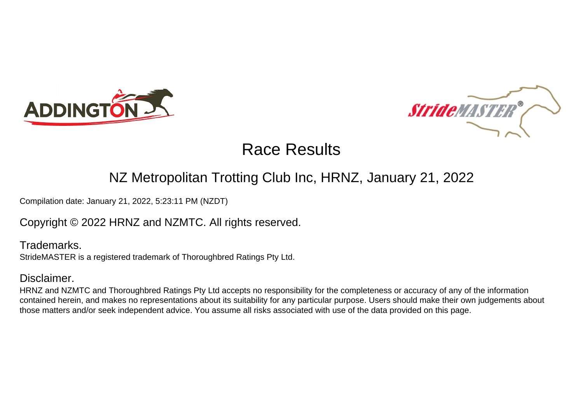



### NZ Metropolitan Trotting Club Inc, HRNZ, January 21, 2022

Compilation date: January 21, 2022, 5:23:11 PM (NZDT)

### Copyright © 2022 HRNZ and NZMTC. All rights reserved.

Trademarks. StrideMASTER is a registered trademark of Thoroughbred Ratings Pty Ltd.

### Disclaimer.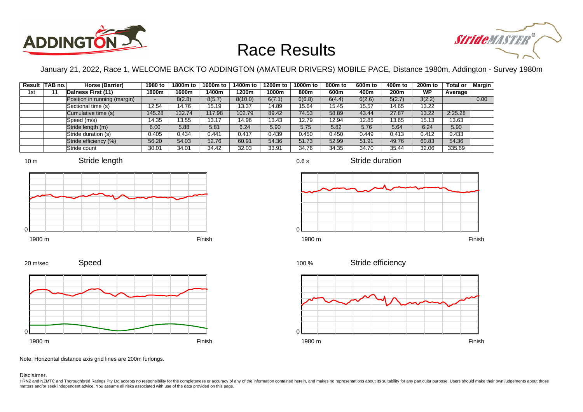



January 21, 2022, Race 1, WELCOME BACK TO ADDINGTON (AMATEUR DRIVERS) MOBILE PACE, Distance 1980m, Addington - Survey 1980m

|     | Result TAB no. | Horse (Barrier)              | 1980 to                  | 1800m to | 1600m to | 1400m to | 1200m to | 1000m to | 800m to | 600 <sub>m</sub> to | 400m to | 200 <sub>m</sub> to | <b>Total or</b> | Margin |
|-----|----------------|------------------------------|--------------------------|----------|----------|----------|----------|----------|---------|---------------------|---------|---------------------|-----------------|--------|
| 1st | 11             | Dalness First (11)           | 1800m                    | 1600m    | 1400m    | 1200m    | 1000m    | 800m     | 600m    | 400m                | 200m    | <b>WP</b>           | Average         |        |
|     |                | Position in running (margin) | $\overline{\phantom{0}}$ | 8(2.8)   | 8(5.7)   | 8(10.0)  | 6(7.1)   | 6(6.8)   | 6(4.4)  | 6(2.6)              | 5(2.7)  | 3(2.2)              |                 | 0.00   |
|     |                | Sectional time (s)           | 12.54                    | 14.76    | 15.19    | 13.37    | 14.89    | 15.64    | 15.45   | 15.57               | 14.65   | 13.22               |                 |        |
|     |                | Cumulative time (s)          | 145.28                   | 132.74   | 117.98   | 102.79   | 89.42    | 74.53    | 58.89   | 43.44               | 27.87   | 13.22               | 2:25.28         |        |
|     |                | Speed (m/s)                  | 14.35                    | 13.55    | 13.17    | 14.96    | 13.43    | 12.79    | 12.94   | 12.85               | 13.65   | 15.13               | 13.63           |        |
|     |                | Stride length (m)            | 6.00                     | 5.88     | 5.81     | 6.24     | 5.90     | 5.75     | 5.82    | 5.76                | 5.64    | 6.24                | 5.90            |        |
|     |                | Stride duration (s)          | 0.405                    | 0.434    | 0.441    | 0.417    | 0.439    | 0.450    | 0.450   | 0.449               | 0.413   | 0.412               | 0.433           |        |
|     |                | Stride efficiency (%)        | 56.20                    | 54.03    | 52.76    | 60.91    | 54.36    | 51.73    | 52.99   | 51.91               | 49.76   | 60.83               | 54.36           |        |
|     |                | Stride count                 | 30.01                    | 34.01    | 34.42    | 32.03    | 33.91    | 34.76    | 34.35   | 34.70               | 35.44   | 32.06               | 335.69          |        |





20 m/sec

1980 m Finish





0.6 s

Stride duration



Stride efficiency 100 %



Note: Horizontal distance axis grid lines are 200m furlongs.

Disclaimer.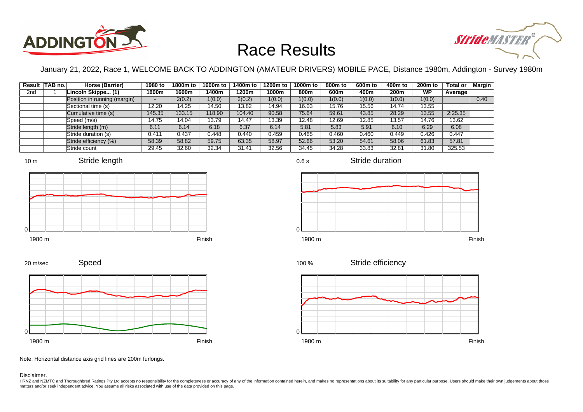



January 21, 2022, Race 1, WELCOME BACK TO ADDINGTON (AMATEUR DRIVERS) MOBILE PACE, Distance 1980m, Addington - Survey 1980m

|                 | Result TAB no. | Horse (Barrier)              | 1980 to                  | 1800m to | 1600m to | 1400m to | 1200m to | 1000m to | 800m to | 600 <sub>m</sub> to | 400m to          | 200 <sub>m</sub> to | <b>Total or</b> | Margin |
|-----------------|----------------|------------------------------|--------------------------|----------|----------|----------|----------|----------|---------|---------------------|------------------|---------------------|-----------------|--------|
| 2 <sub>nd</sub> |                | Lincoln Skippe (1)           | 1800m                    | 1600m    | 1400m    | 1200m    | 1000m    | 800m     | 600m    | 400m                | 200 <sub>m</sub> | <b>WP</b>           | Average         |        |
|                 |                | Position in running (margin) | $\overline{\phantom{0}}$ | 2(0.2)   | 1(0.0)   | 2(0.2)   | 1(0.0)   | 1(0.0)   | 1(0.0)  | 1(0.0)              | 1(0.0)           | 1(0.0)              |                 | 0.40   |
|                 |                | Sectional time (s)           | 12.20                    | 14.25    | 14.50    | 13.82    | 14.94    | 16.03    | 15.76   | 15.56               | 14.74            | 13.55               |                 |        |
|                 |                | Cumulative time (s)          | 145.35                   | 133.15   | 118.90   | 104.40   | 90.58    | 75.64    | 59.61   | 43.85               | 28.29            | 13.55               | 2:25.35         |        |
|                 |                | Speed (m/s)                  | 14.75                    | 14.04    | 13.79    | 14.47    | 13.39    | 12.48    | 12.69   | 12.85               | 13.57            | 14.76               | 13.62           |        |
|                 |                | Stride length (m)            | 6.11                     | 6.14     | 6.18     | 6.37     | 6.14     | 5.81     | 5.83    | 5.91                | 6.10             | 6.29                | 6.08            |        |
|                 |                | Stride duration (s)          | 0.411                    | 0.437    | 0.448    | 0.440    | 0.459    | 0.465    | 0.460   | 0.460               | 0.449            | 0.426               | 0.447           |        |
|                 |                | Stride efficiency (%)        | 58.39                    | 58.82    | 59.75    | 63.35    | 58.97    | 52.66    | 53.20   | 54.61               | 58.06            | 61.83               | 57.81           |        |
|                 |                | Stride count                 | 29.45                    | 32.60    | 32.34    | 31.41    | 32.56    | 34.45    | 34.28   | 33.83               | 32.81            | 31.80               | 325.53          |        |





















Note: Horizontal distance axis grid lines are 200m furlongs.

Disclaimer.

0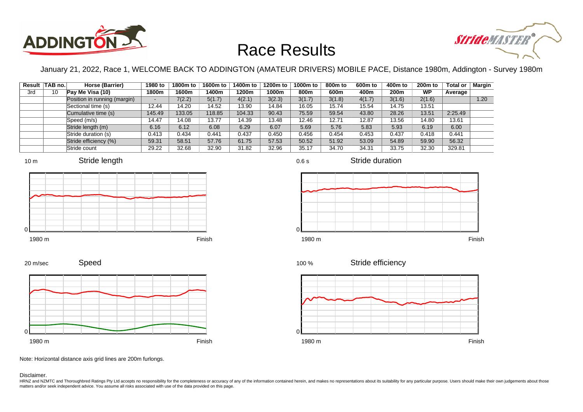



January 21, 2022, Race 1, WELCOME BACK TO ADDINGTON (AMATEUR DRIVERS) MOBILE PACE, Distance 1980m, Addington - Survey 1980m

0.6 s

|     | Result TAB no. | Horse (Barrier)              | 1980 to                  | 1800m to | 1600m to | 1400m to | 1200m to | 1000m to | 800m to | 600 <sub>m</sub> to | 400m to | $200m$ to | <b>Total or</b> | Margin |
|-----|----------------|------------------------------|--------------------------|----------|----------|----------|----------|----------|---------|---------------------|---------|-----------|-----------------|--------|
| 3rd | 10             | Pay Me Visa (10)             | 1800m                    | 1600m    | 1400m    | 1200m    | 1000m    | 800m     | 600m    | 400m                | 200m    | <b>WP</b> | Average         |        |
|     |                | Position in running (margin) | $\overline{\phantom{0}}$ | 7(2.2)   | 5(1.7)   | 4(2.1)   | 3(2.3)   | 3(1.7)   | 3(1.8)  | 4(1.7)              | 3(1.6)  | 2(1.6)    |                 | 1.20   |
|     |                | Sectional time (s)           | 12.44                    | 14.20    | 14.52    | 13.90    | 14.84    | 16.05    | 15.74   | 15.54               | 14.75   | 13.51     |                 |        |
|     |                | Cumulative time (s)          | 145.49                   | 133.05   | 118.85   | 104.33   | 90.43    | 75.59    | 59.54   | 43.80               | 28.26   | 13.51     | 2:25.49         |        |
|     |                | Speed (m/s)                  | 14.47                    | 14.08    | 13.77    | 14.39    | 13.48    | 12.46    | 12.71   | 12.87               | 13.56   | 14.80     | 13.61           |        |
|     |                | Stride length (m)            | 6.16                     | 6.12     | 6.08     | 6.29     | 6.07     | 5.69     | 5.76    | 5.83                | 5.93    | 6.19      | 6.00            |        |
|     |                | Stride duration (s)          | 0.413                    | 0.434    | 0.441    | 0.437    | 0.450    | 0.456    | 0.454   | 0.453               | 0.437   | 0.418     | 0.441           |        |
|     |                | Stride efficiency (%)        | 59.31                    | 58.51    | 57.76    | 61.75    | 57.53    | 50.52    | 51.92   | 53.09               | 54.89   | 59.90     | 56.32           |        |
|     |                | Stride count                 | 29.22                    | 32.68    | 32.90    | 31.82    | 32.96    | 35.17    | 34.70   | 34.31               | 33.75   | 32.30     | 329.81          |        |







Stride duration



Stride efficiency 100 %



Speed 20 m/sec



Note: Horizontal distance axis grid lines are 200m furlongs.

Disclaimer.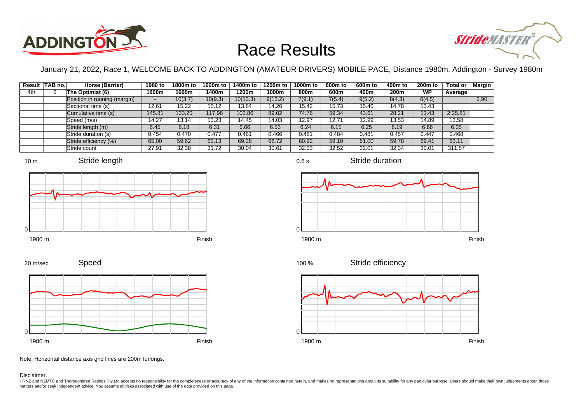



January 21, 2022, Race 1, WELCOME BACK TO ADDINGTON (AMATEUR DRIVERS) MOBILE PACE, Distance 1980m, Addington - Survey 1980m

|     | Result TAB no. | Horse (Barrier)              | 1980 to | 1800m to | 1600m to | 1400m to | 1200m to | 1000m to | 800 <sub>m</sub> to | 600 <sub>m</sub> to | 400m to | $200m$ to | <b>Total or</b> | Margin |
|-----|----------------|------------------------------|---------|----------|----------|----------|----------|----------|---------------------|---------------------|---------|-----------|-----------------|--------|
| 4th |                | The Optimist (6)             | 1800m   | 1600m    | 1400m    | 1200m    | 1000m    | 800m     | 600m                | 400m                | 200m    | <b>WP</b> | Average         |        |
|     |                | Position in running (margin) | -       | 10(3.7)  | 10(9.3)  | 10(13.3) | 9(13.2)  | 7(9.1)   | 7(5.4)              | 9(5.2)              | 8(4.3)  | 6(4.5)    |                 | 2.90   |
|     |                | Sectional time (s)           | 12.61   | 15.22    | 15.12    | 13.84    | 14.26    | 15.42    | 15.73               | 15.40               | 14.78   | 13.43     |                 |        |
|     |                | Cumulative time (s)          | 145.81  | 133.20   | 117.98   | 102.86   | 89.02    | 74.76    | 59.34               | 43.61               | 28.21   | 13.43     | 2:25.81         |        |
|     |                | Speed (m/s)                  | 14.27   | 13.14    | 13.23    | 14.45    | 14.03    | 12.97    | 12.71               | 12.99               | 13.53   | 14.89     | 13.58           |        |
|     |                | Stride length (m)            | 6.45    | 6.18     | 6.31     | 6.66     | 6.53     | 6.24     | 6.15                | 6.25                | 6.19    | 6.66      | 6.35            |        |
|     |                | Stride duration (s)          | 0.454   | 0.470    | 0.477    | 0.461    | 0.466    | 0.481    | 0.484               | 0.481               | 0.457   | 0.447     | 0.468           |        |
|     |                | Stride efficiency (%)        | 65.00   | 59.62    | 62.13    | 69.28    | 66.72    | 60.92    | 59.10               | 61.00               | 59.78   | 69.41     | 63.11           |        |
|     |                | Stride count                 | 27.91   | 32.38    | 31.72    | 30.04    | 30.61    | 32.03    | 32.52               | 32.01               | 32.34   | 30.01     | 311.57          |        |









1980 m Finish



Stride duration







Note: Horizontal distance axis grid lines are 200m furlongs.

Disclaimer.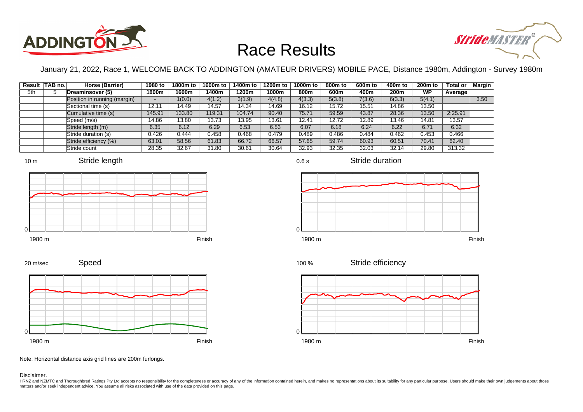



January 21, 2022, Race 1, WELCOME BACK TO ADDINGTON (AMATEUR DRIVERS) MOBILE PACE, Distance 1980m, Addington - Survey 1980m

0.6 s

|     | Result TAB no. | Horse (Barrier)              | 1980 to                  | 1800m to | 1600m to | 1400m to | 1200m to | 1000m to | 800m to | 600 <sub>m</sub> to | 400m to          | 200 <sub>m</sub> to | <b>Total or</b> | Margin |
|-----|----------------|------------------------------|--------------------------|----------|----------|----------|----------|----------|---------|---------------------|------------------|---------------------|-----------------|--------|
| 5th |                | Dreaminsover (5)             | 1800m                    | 1600m    | 1400m    | 1200m    | 1000m    | 800m     | 600m    | 400m                | 200 <sub>m</sub> | <b>WP</b>           | Average         |        |
|     |                | Position in running (margin) | $\overline{\phantom{0}}$ | 1(0.0)   | 4(1.2)   | 3(1.9)   | 4(4.8)   | 4(3.3)   | 5(3.8)  | 7(3.6)              | 6(3.3)           | 5(4.1)              |                 | 3.50   |
|     |                | Sectional time (s)           | 12.11                    | 14.49    | 14.57    | 14.34    | 14.69    | 16.12    | 15.72   | 15.51               | 14.86            | 13.50               |                 |        |
|     |                | Cumulative time (s)          | 145.91                   | 133.80   | 119.31   | 104.74   | 90.40    | 75.71    | 59.59   | 43.87               | 28.36            | 13.50               | 2:25.91         |        |
|     |                | Speed (m/s)                  | 14.86                    | 13.80    | 13.73    | 13.95    | 13.61    | 12.41    | 12.72   | 12.89               | 13.46            | 14.81               | 13.57           |        |
|     |                | Stride length (m)            | 6.35                     | 6.12     | 6.29     | 6.53     | 6.53     | 6.07     | 6.18    | 6.24                | 6.22             | 6.71                | 6.32            |        |
|     |                | Stride duration (s)          | 0.426                    | 0.444    | 0.458    | 0.468    | 0.479    | 0.489    | 0.486   | 0.484               | 0.462            | 0.453               | 0.466           |        |
|     |                | Stride efficiency (%)        | 63.01                    | 58.56    | 61.83    | 66.72    | 66.57    | 57.65    | 59.74   | 60.93               | 60.51            | 70.41               | 62.40           |        |
|     |                | Stride count                 | 28.35                    | 32.67    | 31.80    | 30.61    | 30.64    | 32.93    | 32.35   | 32.03               | 32.14            | 29.80               | 313.32          |        |















Stride duration

Speed 20 m/sec



Note: Horizontal distance axis grid lines are 200m furlongs.

#### Disclaimer.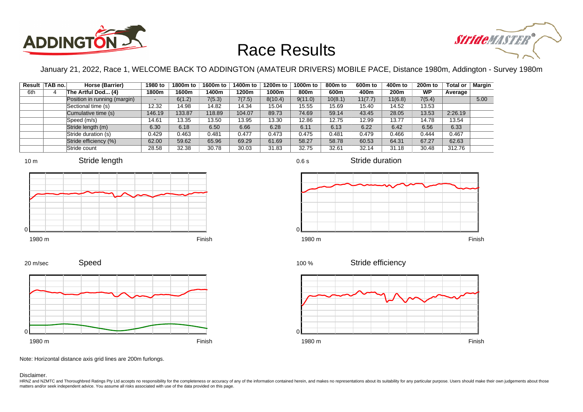



January 21, 2022, Race 1, WELCOME BACK TO ADDINGTON (AMATEUR DRIVERS) MOBILE PACE, Distance 1980m, Addington - Survey 1980m

|     | Result TAB no. | Horse (Barrier)              | 1980 to | 1800m to | 1600m to | 1400m to | 1200m to | 1000m to | 800m to | 600 <sub>m</sub> to | 400m to | 200 <sub>m</sub> to | <b>Total or</b> | <b>Margin</b> |
|-----|----------------|------------------------------|---------|----------|----------|----------|----------|----------|---------|---------------------|---------|---------------------|-----------------|---------------|
| 6th |                | The Artful Dod (4)           | 1800m   | 1600m    | 1400m    | 1200m    | 1000m    | 800m     | 600m    | 400m                | 200m    | <b>WP</b>           | Average         |               |
|     |                | Position in running (margin) | -       | 6(1.2)   | 7(5.3)   | 7(7.5)   | 8(10.4)  | 9(11.0)  | 10(8.1) | 11(7.7)             | 11(6.8) | 7(5.4)              |                 | 5.00          |
|     |                | Sectional time (s)           | 12.32   | 14.98    | 14.82    | 14.34    | 15.04    | 15.55    | 15.69   | 15.40               | 14.52   | 13.53               |                 |               |
|     |                | Cumulative time (s)          | 146.19  | 133.87   | 118.89   | 104.07   | 89.73    | 74.69    | 59.14   | 43.45               | 28.05   | 13.53               | 2:26.19         |               |
|     |                | Speed (m/s)                  | 14.61   | 13.35    | 13.50    | 13.95    | 13.30    | 12.86    | 12.75   | 12.99               | 13.77   | 14.78               | 13.54           |               |
|     |                | Stride length (m)            | 6.30    | 6.18     | 6.50     | 6.66     | 6.28     | 6.11     | 6.13    | 6.22                | 6.42    | 6.56                | 6.33            |               |
|     |                | Stride duration (s)          | 0.429   | 0.463    | 0.481    | 0.477    | 0.473    | 0.475    | 0.481   | 0.479               | 0.466   | 0.444               | 0.467           |               |
|     |                | Stride efficiency (%)        | 62.00   | 59.62    | 65.96    | 69.29    | 61.69    | 58.27    | 58.78   | 60.53               | 64.31   | 67.27               | 62.63           |               |
|     |                | Stride count                 | 28.58   | 32.38    | 30.78    | 30.03    | 31.83    | 32.75    | 32.61   | 32.14               | 31.18   | 30.48               | 312.76          |               |







Stride duration











Note: Horizontal distance axis grid lines are 200m furlongs.

Disclaimer.

20 m/sec

HRNZ and NZMTC and Thoroughbred Ratings Pty Ltd accepts no responsibility for the completeness or accuracy of any of the information contained herein, and makes no representations about its suitability for any particular p matters and/or seek independent advice. You assume all risks associated with use of the data provided on this page.

0.6 s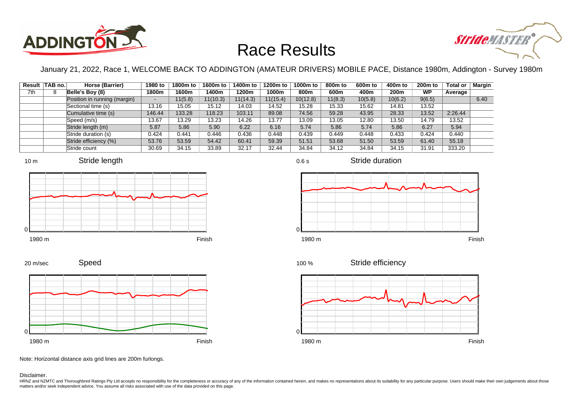



January 21, 2022, Race 1, WELCOME BACK TO ADDINGTON (AMATEUR DRIVERS) MOBILE PACE, Distance 1980m, Addington - Survey 1980m

|     | Result TAB no. | Horse (Barrier)              | 1980 to | 1800m to | 1600m to | 1400m to | 1200m to | 1000m to | 800 <sub>m</sub> to | 600 <sub>m</sub> to | 400m to | 200 <sub>m</sub> to | <b>Total or</b> | <b>Margin</b> |
|-----|----------------|------------------------------|---------|----------|----------|----------|----------|----------|---------------------|---------------------|---------|---------------------|-----------------|---------------|
| 7th | 8              | Belle's Boy (8)              | 1800m   | 1600m    | 1400m    | 1200m    | 1000m    | 800m     | 600m                | 400m                | 200m    | <b>WP</b>           | Average         |               |
|     |                | Position in running (margin) | ۰.      | 11(5.8)  | 11(10.3) | 11(14.3) | 11(15.4) | 10(12.8) | 11(8.3)             | 10(5.8)             | 10(6.2) | 9(6.5)              |                 | 6.40          |
|     |                | Sectional time (s)           | 13.16   | 15.05    | 15.12    | 14.03    | 14.52    | 15.28    | 15.33               | 15.62               | 14.81   | 13.52               |                 |               |
|     |                | Cumulative time (s)          | 146.44  | 133.28   | 118.23   | 103.11   | 89.08    | 74.56    | 59.28               | 43.95               | 28.33   | 13.52               | 2:26.44         |               |
|     |                | Speed (m/s)                  | 13.67   | 13.29    | 13.23    | 14.26    | 13.77    | 13.09    | 13.05               | 12.80               | 13.50   | 14.79               | 13.52           |               |
|     |                | Stride length (m)            | 5.87    | 5.86     | 5.90     | 6.22     | 6.16     | 5.74     | 5.86                | 5.74                | 5.86    | 6.27                | 5.94            |               |
|     |                | Stride duration (s)          | 0.424   | 0.441    | 0.446    | 0.436    | 0.448    | 0.439    | 0.449               | 0.448               | 0.433   | 0.424               | 0.440           |               |
|     |                | Stride efficiency (%)        | 53.76   | 53.59    | 54.42    | 60.41    | 59.39    | 51.51    | 53.68               | 51.50               | 53.59   | 61.40               | 55.18           |               |
|     |                | Stride count                 | 30.69   | 34.15    | 33.89    | 32.17    | 32.44    | 34.84    | 34.12               | 34.84               | 34.15   | 31.91               | 333.20          |               |







Stride duration









Note: Horizontal distance axis grid lines are 200m furlongs.

Disclaimer.

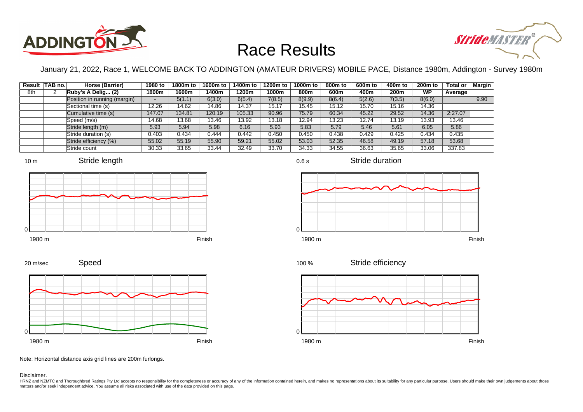



January 21, 2022, Race 1, WELCOME BACK TO ADDINGTON (AMATEUR DRIVERS) MOBILE PACE, Distance 1980m, Addington - Survey 1980m

|     | Result TAB no. | Horse (Barrier)              | 1980 to                  | 1800m to | 1600m to | 1400m to | 1200m to | 1000m to | 800m to | 600 <sub>m</sub> to | 400m to | 200 <sub>m</sub> to | <b>Total or</b> | Margin |
|-----|----------------|------------------------------|--------------------------|----------|----------|----------|----------|----------|---------|---------------------|---------|---------------------|-----------------|--------|
| 8th | 2              | Ruby's A Delig (2)           | 1800m                    | 1600m    | 1400m    | 1200m    | 1000m    | 800m     | 600m    | 400m                | 200m    | <b>WP</b>           | Average         |        |
|     |                | Position in running (margin) | $\overline{\phantom{0}}$ | 5(1.1)   | 6(3.0)   | 6(5.4)   | 7(8.5)   | 8(9.9)   | 8(6.4)  | 5(2.6)              | 7(3.5)  | 8(6.0)              |                 | 9.90   |
|     |                | Sectional time (s)           | 12.26                    | 14.62    | 14.86    | 14.37    | 15.17    | 15.45    | 15.12   | 15.70               | 15.16   | 14.36               |                 |        |
|     |                | Cumulative time (s)          | 147.07                   | 134.81   | 120.19   | 105.33   | 90.96    | 75.79    | 60.34   | 45.22               | 29.52   | 14.36               | 2:27.07         |        |
|     |                | Speed (m/s)                  | 14.68                    | 13.68    | 13.46    | 13.92    | 13.18    | 12.94    | 13.23   | 12.74               | 13.19   | 13.93               | 13.46           |        |
|     |                | Stride length (m)            | 5.93                     | 5.94     | 5.98     | 6.16     | 5.93     | 5.83     | 5.79    | 5.46                | 5.61    | 6.05                | 5.86            |        |
|     |                | Stride duration (s)          | 0.403                    | 0.434    | 0.444    | 0.442    | 0.450    | 0.450    | 0.438   | 0.429               | 0.425   | 0.434               | 0.435           |        |
|     |                | Stride efficiency (%)        | 55.02                    | 55.19    | 55.90    | 59.21    | 55.02    | 53.03    | 52.35   | 46.58               | 49.19   | 57.18               | 53.68           |        |
|     |                | Stride count                 | 30.33                    | 33.65    | 33.44    | 32.49    | 33.70    | 34.33    | 34.55   | 36.63               | 35.65   | 33.06               | 337.83          |        |







Stride duration







Speed 20 m/sec



Note: Horizontal distance axis grid lines are 200m furlongs.

Disclaimer.

HRNZ and NZMTC and Thoroughbred Ratings Pty Ltd accepts no responsibility for the completeness or accuracy of any of the information contained herein, and makes no representations about its suitability for any particular p matters and/or seek independent advice. You assume all risks associated with use of the data provided on this page.

0.6 s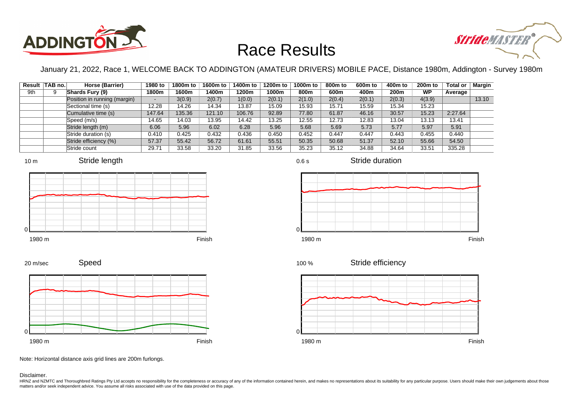



January 21, 2022, Race 1, WELCOME BACK TO ADDINGTON (AMATEUR DRIVERS) MOBILE PACE, Distance 1980m, Addington - Survey 1980m

|     | Result TAB no. | Horse (Barrier)              | 1980 to                  | 1800m to | 1600m to | 1400m to | 1200m to | 1000m to | 800m to | 600 <sub>m</sub> to | 400m to          | 200 <sub>m</sub> to | <b>Total or</b> | Margin |
|-----|----------------|------------------------------|--------------------------|----------|----------|----------|----------|----------|---------|---------------------|------------------|---------------------|-----------------|--------|
| 9th |                | Shards Fury (9)              | 1800m                    | 1600m    | 1400m    | 1200m    | 1000m    | 800m     | 600m    | 400m                | 200 <sub>m</sub> | <b>WP</b>           | Average         |        |
|     |                | Position in running (margin) | $\overline{\phantom{0}}$ | 3(0.9)   | 2(0.7)   | 1(0.0)   | 2(0.1)   | 2(1.0)   | 2(0.4)  | 2(0.1)              | 2(0.3)           | 4(3.9)              |                 | 13.10  |
|     |                | Sectional time (s)           | 12.28                    | 14.26    | 14.34    | 13.87    | 15.09    | 15.93    | 15.71   | 15.59               | 15.34            | 15.23               |                 |        |
|     |                | Cumulative time (s)          | 147.64                   | 135.36   | 121.10   | 106.76   | 92.89    | 77.80    | 61.87   | 46.16               | 30.57            | 15.23               | 2:27.64         |        |
|     |                | Speed (m/s)                  | 14.65                    | 14.03    | 13.95    | 14.42    | 13.25    | 12.55    | 12.73   | 12.83               | 13.04            | 13.13               | 13.41           |        |
|     |                | Stride length (m)            | 6.06                     | 5.96     | 6.02     | 6.28     | 5.96     | 5.68     | 5.69    | 5.73                | 5.77             | 5.97                | 5.91            |        |
|     |                | Stride duration (s)          | 0.410                    | 0.425    | 0.432    | 0.436    | 0.450    | 0.452    | 0.447   | 0.447               | 0.443            | 0.455               | 0.440           |        |
|     |                | Stride efficiency (%)        | 57.37                    | 55.42    | 56.72    | 61.61    | 55.51    | 50.35    | 50.68   | 51.37               | 52.10            | 55.66               | 54.50           |        |
|     |                | Stride count                 | 29.71                    | 33.58    | 33.20    | 31.85    | 33.56    | 35.23    | 35.12   | 34.88               | 34.64            | 33.51               | 335.28          |        |









0.6 s

Stride duration



Stride efficiency 100 %



Note: Horizontal distance axis grid lines are 200m furlongs.

#### Disclaimer.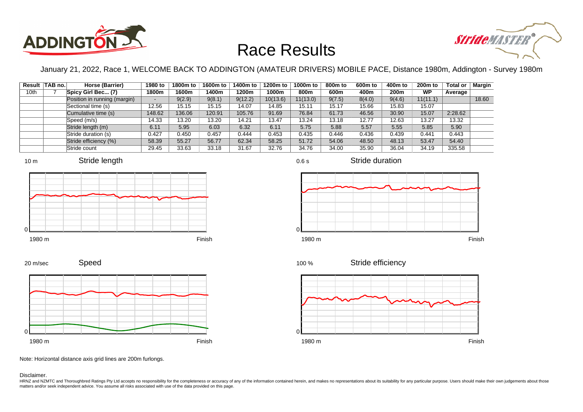



January 21, 2022, Race 1, WELCOME BACK TO ADDINGTON (AMATEUR DRIVERS) MOBILE PACE, Distance 1980m, Addington - Survey 1980m

|      | Result TAB no. | Horse (Barrier)              | 1980 to                  | 1800m to | 1600m to | 1400m to | 1200m to | 1000m to | 800m to | 600 <sub>m</sub> to | 400m to | 200 <sub>m</sub> to | <b>Total or</b> | Margin |
|------|----------------|------------------------------|--------------------------|----------|----------|----------|----------|----------|---------|---------------------|---------|---------------------|-----------------|--------|
| 10th |                | Spicy Girl Bec (7)           | 1800m                    | 1600m    | 1400m    | 1200m    | 1000m    | 800m     | 600m    | 400m                | 200m    | <b>WP</b>           | Average         |        |
|      |                | Position in running (margin) | $\overline{\phantom{0}}$ | 9(2.9)   | 9(8.1)   | 9(12.2)  | 10(13.6) | 11(13.0) | 9(7.5)  | 8(4.0)              | 9(4.6)  | 11(11.1)            |                 | 18.60  |
|      |                | Sectional time (s)           | 12.56                    | 15.15    | 15.15    | 14.07    | 14.85    | 15.11    | 15.17   | 15.66               | 15.83   | 15.07               |                 |        |
|      |                | Cumulative time (s)          | 148.62                   | 136.06   | 120.91   | 105.76   | 91.69    | 76.84    | 61.73   | 46.56               | 30.90   | 15.07               | 2:28.62         |        |
|      |                | Speed (m/s)                  | 14.33                    | 13.20    | 13.20    | 14.21    | 13.47    | 13.24    | 13.18   | 12.77               | 12.63   | 13.27               | 13.32           |        |
|      |                | Stride length (m)            | 6.11                     | 5.95     | 6.03     | 6.32     | 6.11     | 5.75     | 5.88    | 5.57                | 5.55    | 5.85                | 5.90            |        |
|      |                | Stride duration (s)          | 0.427                    | 0.450    | 0.457    | 0.444    | 0.453    | 0.435    | 0.446   | 0.436               | 0.439   | 0.441               | 0.443           |        |
|      |                | Stride efficiency (%)        | 58.39                    | 55.27    | 56.77    | 62.34    | 58.25    | 51.72    | 54.06   | 48.50               | 48.13   | 53.47               | 54.40           |        |
|      |                | Stride count                 | 29.45                    | 33.63    | 33.18    | 31.67    | 32.76    | 34.76    | 34.00   | 35.90               | 36.04   | 34.19               | 335.58          |        |













Speed 20 m/sec



Note: Horizontal distance axis grid lines are 200m furlongs.

Disclaimer.

HRNZ and NZMTC and Thoroughbred Ratings Pty Ltd accepts no responsibility for the completeness or accuracy of any of the information contained herein, and makes no representations about its suitability for any particular p matters and/or seek independent advice. You assume all risks associated with use of the data provided on this page.

0.6 s

Stride duration